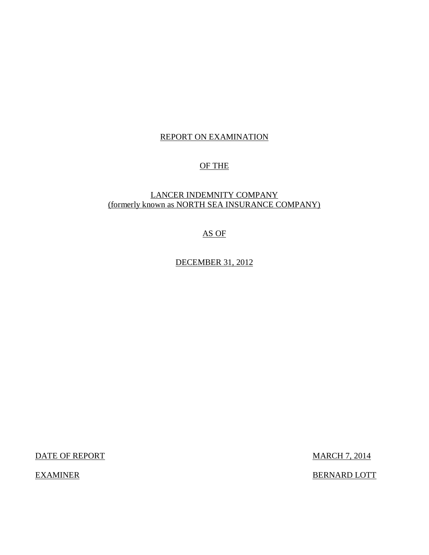### REPORT ON EXAMINATION

### OF THE

### (formerly known as NORTH SEA INSURANCE COMPANY) LANCER INDEMNITY COMPANY

### AS OF

DECEMBER 31, 2012

DATE OF REPORT NOTE: NOTE: NOTE: NOTE: NOTE: NOTE: NOTE: NOTE: NOTE: NOTE: NOTE: NOTE: NOTE: NOTE: NOTE: NOTE: NOTE: NOTE: NOTE: NOTE: NOTE: NOTE: NOTE: NOTE: NOTE: NOTE: NOTE: NOTE: NOTE: NOTE: NOTE: NOTE: NOTE: NOTE: NOT

**EXAMINER** 

BERNARD LOTT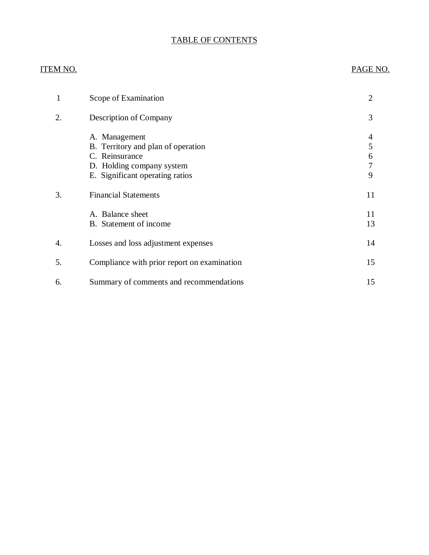### TABLE OF CONTENTS

### **ITEM NO.**

## PAGE NO.

| 1  | Scope of Examination                                                                                                                  | $\overline{2}$        |
|----|---------------------------------------------------------------------------------------------------------------------------------------|-----------------------|
| 2. | Description of Company                                                                                                                | 3                     |
|    | A. Management<br>B. Territory and plan of operation<br>C. Reinsurance<br>D. Holding company system<br>E. Significant operating ratios | 4<br>5<br>6<br>7<br>9 |
| 3. | <b>Financial Statements</b>                                                                                                           | 11                    |
|    | A. Balance sheet<br>B. Statement of income                                                                                            | 11<br>13              |
| 4. | Losses and loss adjustment expenses                                                                                                   | 14                    |
| 5. | Compliance with prior report on examination                                                                                           | 15                    |
| 6. | Summary of comments and recommendations                                                                                               | 15                    |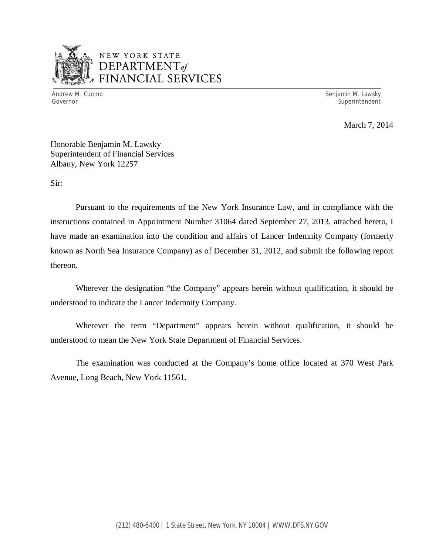

## NEW YORK STATE *DEPARTMENTof*  FINANCIAL SERVICES

Andrew M. Cuomo

Benjamin M. Lawsky Governor Superintendent Superintendent Superintendent Superintendent Superintendent Superintendent Superintendent

March 7, 2014

 Honorable Benjamin M. Lawsky Superintendent of Financial Services Albany, New York 12257

Sir:

 Pursuant to the requirements of the New York Insurance Law, and in compliance with the instructions contained in Appointment Number 31064 dated September 27, 2013, attached hereto, I have made an examination into the condition and affairs of Lancer Indemnity Company (formerly known as North Sea Insurance Company) as of December 31, 2012, and submit the following report thereon.

 Wherever the designation "the Company" appears herein without qualification, it should be understood to indicate the Lancer Indemnity Company.

 Wherever the term "Department" appears herein without qualification, it should be understood to mean the New York State Department of Financial Services.

 Avenue, Long Beach, New York 11561. The examination was conducted at the Company's home office located at 370 West Park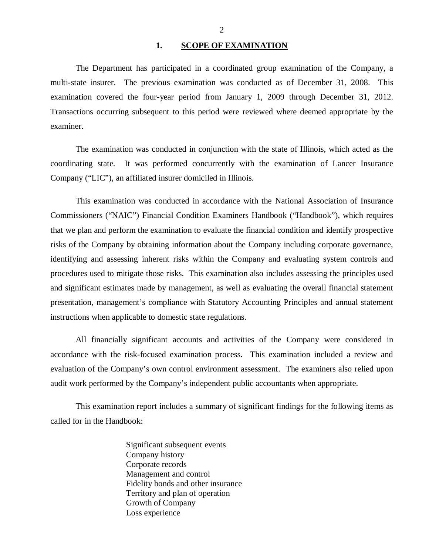**1. SCOPE OF EXAMINATION** 

<span id="page-3-0"></span> multi-state insurer. The previous examination was conducted as of December 31, 2008. This examination covered the four-year period from January 1, 2009 through December 31, 2012. Transactions occurring subsequent to this period were reviewed where deemed appropriate by the examiner. The Department has participated in a coordinated group examination of the Company, a

 coordinating state. It was performed concurrently with the examination of Lancer Insurance Company ("LIC"), an affiliated insurer domiciled in Illinois. The examination was conducted in conjunction with the state of Illinois, which acted as the

 Commissioners ("NAIC") Financial Condition Examiners Handbook ("Handbook"), which requires that we plan and perform the examination to evaluate the financial condition and identify prospective risks of the Company by obtaining information about the Company including corporate governance, identifying and assessing inherent risks within the Company and evaluating system controls and procedures used to mitigate those risks. This examination also includes assessing the principles used and significant estimates made by management, as well as evaluating the overall financial statement presentation, management's compliance with Statutory Accounting Principles and annual statement instructions when applicable to domestic state regulations. This examination was conducted in accordance with the National Association of Insurance

 accordance with the risk-focused examination process. This examination included a review and evaluation of the Company's own control environment assessment. The examiners also relied upon audit work performed by the Company's independent public accountants when appropriate. All financially significant accounts and activities of the Company were considered in

 called for in the Handbook: This examination report includes a summary of significant findings for the following items as

> Significant subsequent events Company history Corporate records Management and control Fidelity bonds and other insurance Territory and plan of operation Growth of Company Loss experience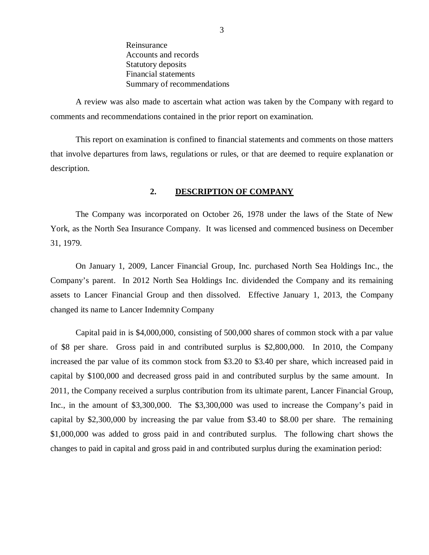Reinsurance Reinsurance Accounts and records Statutory deposits Financial statements Summary of recommendations

<span id="page-4-0"></span> comments and recommendations contained in the prior report on examination. A review was also made to ascertain what action was taken by the Company with regard to

 that involve departures from laws, regulations or rules, or that are deemed to require explanation or This report on examination is confined to financial statements and comments on those matters description.

### **2. DESCRIPTION OF COMPANY**

 York, as the North Sea Insurance Company. It was licensed and commenced business on December 31, 1979. The Company was incorporated on October 26, 1978 under the laws of the State of New

 Company's parent. In 2012 North Sea Holdings Inc. dividended the Company and its remaining assets to Lancer Financial Group and then dissolved. Effective January 1, 2013, the Company changed its name to Lancer Indemnity Company On January 1, 2009, Lancer Financial Group, Inc. purchased North Sea Holdings Inc., the

 Capital paid in is \$4,000,000, consisting of 500,000 shares of common stock with a par value of \$8 per share. Gross paid in and contributed surplus is \$2,800,000. In 2010, the Company increased the par value of its common stock from \$3.20 to \$3.40 per share, which increased paid in capital by \$100,000 and decreased gross paid in and contributed surplus by the same amount. In 2011, the Company received a surplus contribution from its ultimate parent, Lancer Financial Group, Inc., in the amount of \$3,300,000. The \$3,300,000 was used to increase the Company's paid in capital by \$2,300,000 by increasing the par value from \$3.40 to \$8.00 per share. The remaining \$1,000,000 was added to gross paid in and contributed surplus. The following chart shows the changes to paid in capital and gross paid in and contributed surplus during the examination period: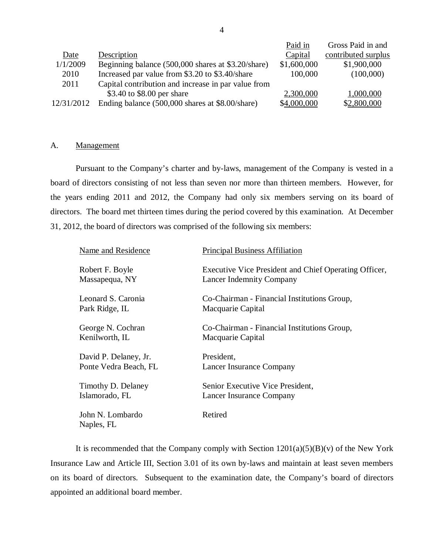<span id="page-5-0"></span>

|            |                                                     | Paid in     | Gross Paid in and   |
|------------|-----------------------------------------------------|-------------|---------------------|
| Date       | Description                                         | Capital     | contributed surplus |
| 1/1/2009   | Beginning balance (500,000 shares at \$3.20/share)  | \$1,600,000 | \$1,900,000         |
| 2010       | Increased par value from \$3.20 to \$3.40/share     | 100,000     | (100,000)           |
| 2011       | Capital contribution and increase in par value from |             |                     |
|            | \$3.40 to \$8.00 per share                          | 2,300,000   | 1,000,000           |
| 12/31/2012 | Ending balance (500,000 shares at \$8.00/share)     | \$4,000,000 | \$2,800,000         |

### A. Management

 Pursuant to the Company's charter and by-laws, management of the Company is vested in a board of directors consisting of not less than seven nor more than thirteen members. However, for the years ending 2011 and 2012, the Company had only six members serving on its board of directors. The board met thirteen times during the period covered by this examination. At December 31, 2012, the board of directors was comprised of the following six members:

| Name and Residence             | <b>Principal Business Affiliation</b>                 |
|--------------------------------|-------------------------------------------------------|
| Robert F. Boyle                | Executive Vice President and Chief Operating Officer, |
| Massapequa, NY                 | <b>Lancer Indemnity Company</b>                       |
| Leonard S. Caronia             | Co-Chairman - Financial Institutions Group,           |
| Park Ridge, IL                 | Macquarie Capital                                     |
| George N. Cochran              | Co-Chairman - Financial Institutions Group,           |
| Kenilworth, IL                 | Macquarie Capital                                     |
| David P. Delaney, Jr.          | President,                                            |
| Ponte Vedra Beach, FL          | Lancer Insurance Company                              |
| Timothy D. Delaney             | Senior Executive Vice President,                      |
| Islamorado, FL                 | Lancer Insurance Company                              |
| John N. Lombardo<br>Naples, FL | Retired                                               |

 Insurance Law and Article III, Section 3.01 of its own by-laws and maintain at least seven members on its board of directors. Subsequent to the examination date, the Company's board of directors appointed an additional board member. It is recommended that the Company comply with Section  $1201(a)(5)(B)(v)$  of the New York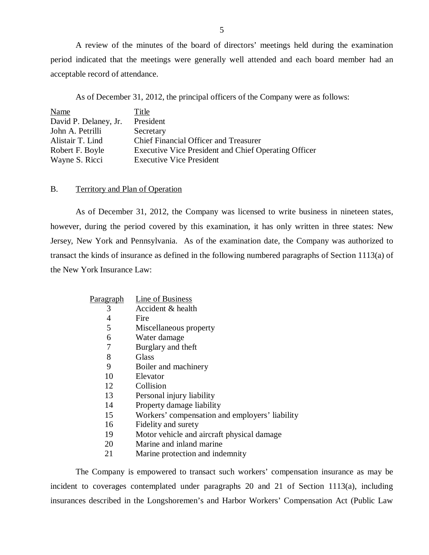<span id="page-6-0"></span> period indicated that the meetings were generally well attended and each board member had an acceptable record of attendance. A review of the minutes of the board of directors' meetings held during the examination

As of December 31, 2012, the principal officers of the Company were as follows:

| Name                  | Title                                                |
|-----------------------|------------------------------------------------------|
| David P. Delaney, Jr. | President                                            |
| John A. Petrilli      | Secretary                                            |
| Alistair T. Lind      | Chief Financial Officer and Treasurer                |
| Robert F. Boyle       | Executive Vice President and Chief Operating Officer |
| Wayne S. Ricci        | <b>Executive Vice President</b>                      |

### B. Territory and Plan of Operation

 however, during the period covered by this examination, it has only written in three states: New Jersey, New York and Pennsylvania. As of the examination date, the Company was authorized to transact the kinds of insurance as defined in the following numbered paragraphs of Section 1113(a) of the New York Insurance Law: As of December 31, 2012, the Company was licensed to write business in nineteen states,

| P <u>aragraph</u> | Line of Business                               |
|-------------------|------------------------------------------------|
| 3                 | Accident & health                              |
| 4                 | Fire                                           |
| 5                 | Miscellaneous property                         |
| 6                 | Water damage                                   |
| 7                 | Burglary and theft                             |
| 8                 | Glass                                          |
| 9                 | Boiler and machinery                           |
| 10                | Elevator                                       |
| 12                | Collision                                      |
| 13                | Personal injury liability                      |
| 14                | Property damage liability                      |
| 15                | Workers' compensation and employers' liability |
| 16                | Fidelity and surety                            |
| 19                | Motor vehicle and aircraft physical damage     |
| 20                | Marine and inland marine                       |
| 21                | Marine protection and indemnity                |

 incident to coverages contemplated under paragraphs 20 and 21 of Section 1113(a), including insurances described in the Longshoremen's and Harbor Workers' Compensation Act (Public Law The Company is empowered to transact such workers' compensation insurance as may be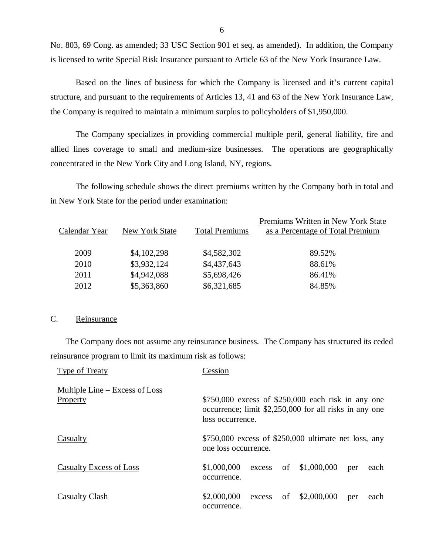No. 803, 69 Cong. as amended; 33 USC Section 901 et seq. as amended). In addition, the Company is licensed to write Special Risk Insurance pursuant to Article 63 of the New York Insurance Law.

 Based on the lines of business for which the Company is licensed and it's current capital structure, and pursuant to the requirements of Articles 13, 41 and 63 of the New York Insurance Law, the Company is required to maintain a minimum surplus to policyholders of \$1,950,000.

 allied lines coverage to small and medium-size businesses. The operations are geographically concentrated in the New York City and Long Island, NY, regions. The Company specializes in providing commercial multiple peril, general liability, fire and

 in New York State for the period under examination: The following schedule shows the direct premiums written by the Company both in total and

| Calendar Year |                       | <b>Total Premiums</b> | Premiums Written in New York State |
|---------------|-----------------------|-----------------------|------------------------------------|
|               | <b>New York State</b> |                       | as a Percentage of Total Premium   |
| 2009          | \$4,102,298           | \$4,582,302           | 89.52%                             |
| 2010          | \$3,932,124           | \$4,437,643           | 88.61%                             |
| 2011          | \$4,942,088           | \$5,698,426           | 86.41%                             |
| 2012          | \$5,363,860           | \$6,321,685           | 84.85%                             |

### C. Reinsurance

 The Company does not assume any reinsurance business. The Company has structured its ceded reinsurance program to limit its maximum risk as follows:

| Type of Treaty                                      | Cession                                                                                                                           |
|-----------------------------------------------------|-----------------------------------------------------------------------------------------------------------------------------------|
| Multiple Line $-$ Excess of Loss<br><b>Property</b> | $$750,000$ excess of \$250,000 each risk in any one<br>occurrence; limit \$2,250,000 for all risks in any one<br>loss occurrence. |
| Casualty                                            | $$750,000$ excess of \$250,000 ultimate net loss, any<br>one loss occurrence.                                                     |
| Casualty Excess of Loss                             | excess of $$1,000,000$<br>\$1,000,000<br>each<br>per<br>occurrence.                                                               |
| Casualty Clash                                      | \$2,000,000<br>of $$2,000,000$<br>excess<br>each<br>per<br>occurrence.                                                            |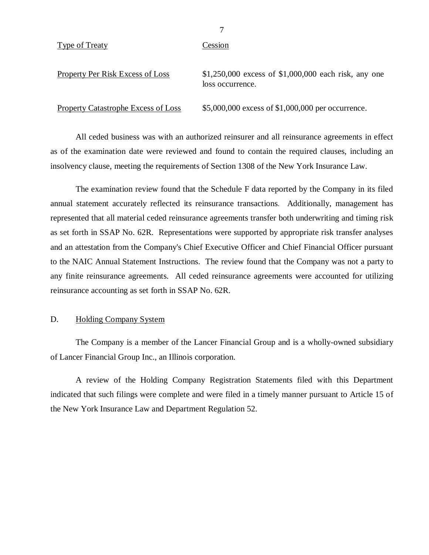<span id="page-8-0"></span>Type of Treaty Cession

| Property Per Risk Excess of Loss    | \$1,250,000 excess of \$1,000,000 each risk, any one<br>loss occurrence. |
|-------------------------------------|--------------------------------------------------------------------------|
| Property Catastrophe Excess of Loss | \$5,000,000 excess of \$1,000,000 per occurrence.                        |

 All ceded business was with an authorized reinsurer and all reinsurance agreements in effect as of the examination date were reviewed and found to contain the required clauses, including an insolvency clause, meeting the requirements of Section 1308 of the New York Insurance Law.

 The examination review found that the Schedule F data reported by the Company in its filed annual statement accurately reflected its reinsurance transactions. Additionally, management has represented that all material ceded reinsurance agreements transfer both underwriting and timing risk as set forth in SSAP No. 62R. Representations were supported by appropriate risk transfer analyses and an attestation from the Company's Chief Executive Officer and Chief Financial Officer pursuant to the NAIC Annual Statement Instructions. The review found that the Company was not a party to any finite reinsurance agreements. All ceded reinsurance agreements were accounted for utilizing reinsurance accounting as set forth in SSAP No. 62R.

### D. Holding Company System

 of Lancer Financial Group Inc., an Illinois corporation. The Company is a member of the Lancer Financial Group and is a wholly-owned subsidiary

 indicated that such filings were complete and were filed in a timely manner pursuant to Article 15 of the New York Insurance Law and Department Regulation 52. A review of the Holding Company Registration Statements filed with this Department

7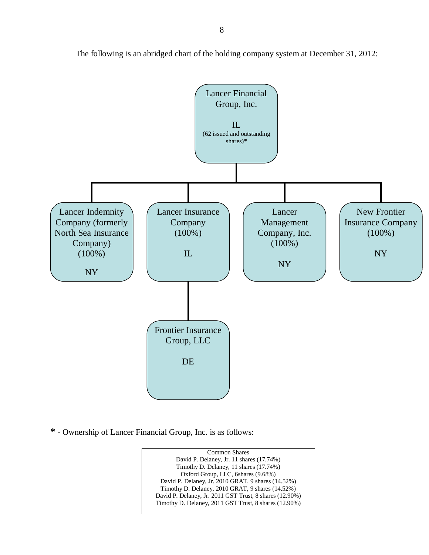

The following is an abridged chart of the holding company system at December 31, 2012:

**\*** - Ownership of Lancer Financial Group, Inc. is as follows:

 David P. Delaney, Jr. 11 shares (17.74%) Timothy D. Delaney, 11 shares (17.74%) Oxford Group, LLC, 6shares (9.68%) David P. Delaney, Jr. 2010 GRAT, 9 shares (14.52%) Timothy D. Delaney, 2010 GRAT, 9 shares (14.52%) David P. Delaney, Jr. 2011 GST Trust, 8 shares (12.90%) Timothy D. Delaney, 2011 GST Trust, 8 shares (12.90%) Common Shares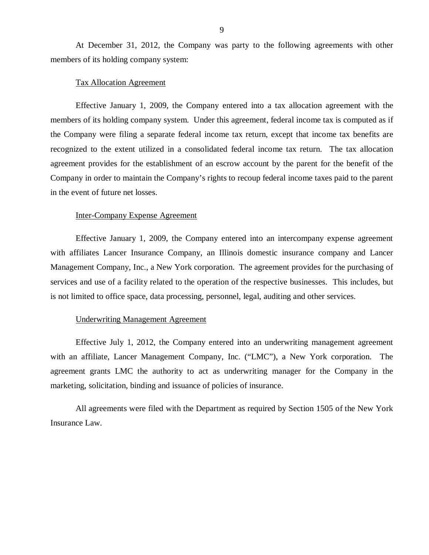<span id="page-10-0"></span> members of its holding company system: At December 31, 2012, the Company was party to the following agreements with other

### Tax Allocation Agreement

 Effective January 1, 2009, the Company entered into a tax allocation agreement with the members of its holding company system. Under this agreement, federal income tax is computed as if the Company were filing a separate federal income tax return, except that income tax benefits are recognized to the extent utilized in a consolidated federal income tax return. The tax allocation agreement provides for the establishment of an escrow account by the parent for the benefit of the Company in order to maintain the Company's rights to recoup federal income taxes paid to the parent in the event of future net losses.

### Inter-Company Expense Agreement

 Effective January 1, 2009, the Company entered into an intercompany expense agreement with affiliates Lancer Insurance Company, an Illinois domestic insurance company and Lancer Management Company, Inc., a New York corporation. The agreement provides for the purchasing of services and use of a facility related to the operation of the respective businesses. This includes, but is not limited to office space, data processing, personnel, legal, auditing and other services.

### Underwriting Management Agreement

 Effective July 1, 2012, the Company entered into an underwriting management agreement with an affiliate, Lancer Management Company, Inc. ("LMC"), a New York corporation. The agreement grants LMC the authority to act as underwriting manager for the Company in the marketing, solicitation, binding and issuance of policies of insurance.

 Insurance Law. All agreements were filed with the Department as required by Section 1505 of the New York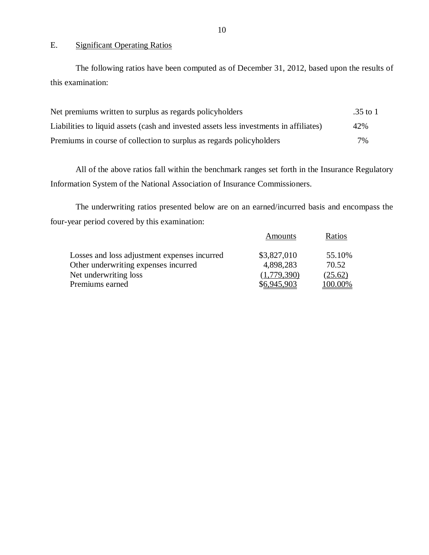### E. Significant Operating Ratios

The following ratios have been computed as of December 31, 2012, based upon the results of this examination:

| Net premiums written to surplus as regards policyholders                               | .35 to 1 |
|----------------------------------------------------------------------------------------|----------|
| Liabilities to liquid assets (cash and invested assets less investments in affiliates) | 42%      |
| Premiums in course of collection to surplus as regards policyholders                   | 7%       |

 Information System of the National Association of Insurance Commissioners. All of the above ratios fall within the benchmark ranges set forth in the Insurance Regulatory

 four-year period covered by this examination: The underwriting ratios presented below are on an earned/incurred basis and encompass the

|                                              | Amounts     | Ratios  |
|----------------------------------------------|-------------|---------|
| Losses and loss adjustment expenses incurred | \$3,827,010 | 55.10%  |
| Other underwriting expenses incurred         | 4,898,283   | 70.52   |
| Net underwriting loss                        | (1.779.390) | (25.62) |
| Premiums earned                              | \$6,945,903 | 100.00% |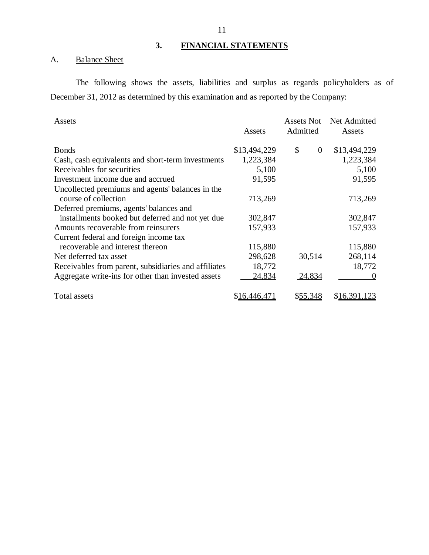### **3. FINANCIAL STATEMENTS**

### A. **Balance Sheet**

 December 31, 2012 as determined by this examination and as reported by the Company: The following shows the assets, liabilities and surplus as regards policyholders as of

| Assets                                               | Assets       | Assets Not<br>Admitted | Net Admitted<br>Assets |
|------------------------------------------------------|--------------|------------------------|------------------------|
| <b>Bonds</b>                                         | \$13,494,229 | \$<br>$\theta$         | \$13,494,229           |
| Cash, cash equivalents and short-term investments    | 1,223,384    |                        | 1,223,384              |
| Receivables for securities                           | 5,100        |                        | 5,100                  |
| Investment income due and accrued                    | 91,595       |                        | 91,595                 |
| Uncollected premiums and agents' balances in the     |              |                        |                        |
| course of collection                                 | 713,269      |                        | 713,269                |
| Deferred premiums, agents' balances and              |              |                        |                        |
| installments booked but deferred and not yet due     | 302,847      |                        | 302,847                |
| Amounts recoverable from reinsurers                  | 157,933      |                        | 157,933                |
| Current federal and foreign income tax               |              |                        |                        |
| recoverable and interest thereon                     | 115,880      |                        | 115,880                |
| Net deferred tax asset                               | 298,628      | 30,514                 | 268,114                |
| Receivables from parent, subsidiaries and affiliates | 18,772       |                        | 18,772                 |
| Aggregate write-ins for other than invested assets   | 24,834       | 24,834                 |                        |
| <b>Total assets</b>                                  | \$16,446,471 | \$55,348               | \$16,391,123           |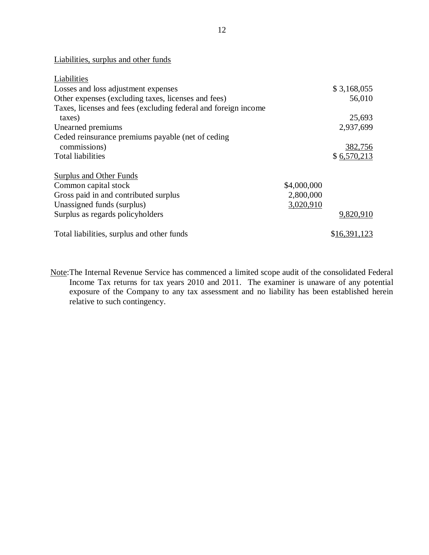Liabilities, surplus and other funds

| Liabilities                                                    |             |              |
|----------------------------------------------------------------|-------------|--------------|
| Losses and loss adjustment expenses                            |             | \$3,168,055  |
| Other expenses (excluding taxes, licenses and fees)            |             | 56,010       |
| Taxes, licenses and fees (excluding federal and foreign income |             |              |
| taxes)                                                         |             | 25,693       |
| Unearned premiums                                              |             | 2,937,699    |
| Ceded reinsurance premiums payable (net of ceding              |             |              |
| commissions)                                                   |             | 382,756      |
| <b>Total liabilities</b>                                       |             | \$6,570,213  |
| <b>Surplus and Other Funds</b>                                 |             |              |
| Common capital stock                                           | \$4,000,000 |              |
| Gross paid in and contributed surplus                          | 2,800,000   |              |
| Unassigned funds (surplus)                                     | 3,020,910   |              |
| Surplus as regards policyholders                               |             | 9,820,910    |
| Total liabilities, surplus and other funds                     |             | \$16,391,123 |

Note: The Internal Revenue Service has commenced a limited scope audit of the consolidated Federal Income Tax returns for tax years 2010 and 2011. The examiner is unaware of any potential exposure of the Company to any tax assessment and no liability has been established herein relative to such contingency.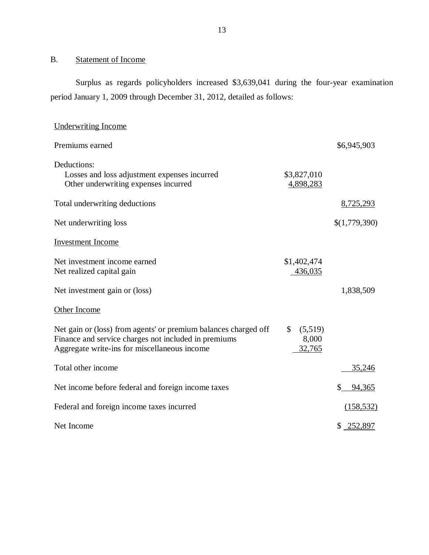### B. Statement of Income

 Surplus as regards policyholders increased \$3,639,041 during the four-year examination period January 1, 2009 through December 31, 2012, detailed as follows:

| <b>Underwriting Income</b>                                                                                                                                              |                                             |               |
|-------------------------------------------------------------------------------------------------------------------------------------------------------------------------|---------------------------------------------|---------------|
| Premiums earned                                                                                                                                                         |                                             | \$6,945,903   |
| Deductions:<br>Losses and loss adjustment expenses incurred<br>Other underwriting expenses incurred                                                                     | \$3,827,010<br>4,898,283                    |               |
| Total underwriting deductions                                                                                                                                           |                                             | 8,725,293     |
| Net underwriting loss                                                                                                                                                   |                                             | \$(1,779,390) |
| <b>Investment</b> Income                                                                                                                                                |                                             |               |
| Net investment income earned<br>Net realized capital gain                                                                                                               | \$1,402,474<br>436,035                      |               |
| Net investment gain or (loss)                                                                                                                                           |                                             | 1,838,509     |
| Other Income                                                                                                                                                            |                                             |               |
| Net gain or (loss) from agents' or premium balances charged off<br>Finance and service charges not included in premiums<br>Aggregate write-ins for miscellaneous income | $\mathcal{S}$<br>(5,519)<br>8,000<br>32,765 |               |
| Total other income                                                                                                                                                      |                                             | 35,246        |
| Net income before federal and foreign income taxes                                                                                                                      |                                             | \$<br>94,365  |
| Federal and foreign income taxes incurred                                                                                                                               |                                             | (158, 532)    |
| Net Income                                                                                                                                                              |                                             | \$ 252,897    |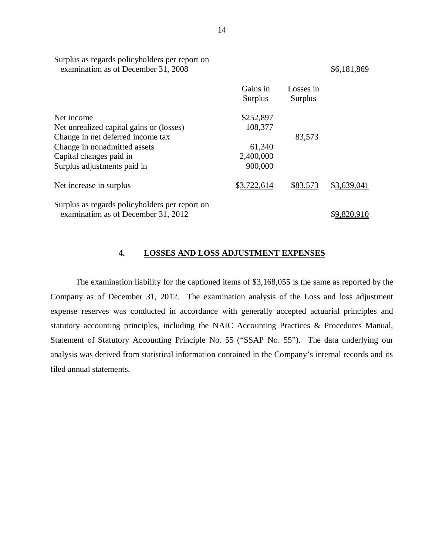|                                                | Gains in<br><b>Surplus</b> | Losses in<br><b>Surplus</b> |             |
|------------------------------------------------|----------------------------|-----------------------------|-------------|
| Net income                                     | \$252,897                  |                             |             |
| Net unrealized capital gains or (losses)       | 108,377                    |                             |             |
| Change in net deferred income tax              |                            | 83,573                      |             |
| Change in nonadmitted assets                   | 61,340                     |                             |             |
| Capital changes paid in                        | 2,400,000                  |                             |             |
| Surplus adjustments paid in                    | 900,000                    |                             |             |
| Net increase in surplus                        | \$3,722,614                | \$83,573                    | \$3,639,041 |
| Surplus as regards policyholders per report on |                            |                             |             |
| examination as of December 31, 2012            |                            |                             |             |

### **4. LOSSES AND LOSS ADJUSTMENT EXPENSES**

 Company as of December 31, 2012. The examination analysis of the Loss and loss adjustment expense reserves was conducted in accordance with generally accepted actuarial principles and statutory accounting principles, including the NAIC Accounting Practices & Procedures Manual, Statement of Statutory Accounting Principle No. 55 ("SSAP No. 55"). The data underlying our analysis was derived from statistical information contained in the Company's internal records and its filed annual statements. The examination liability for the captioned items of \$3,168,055 is the same as reported by the

Surplus as regards policyholders per report on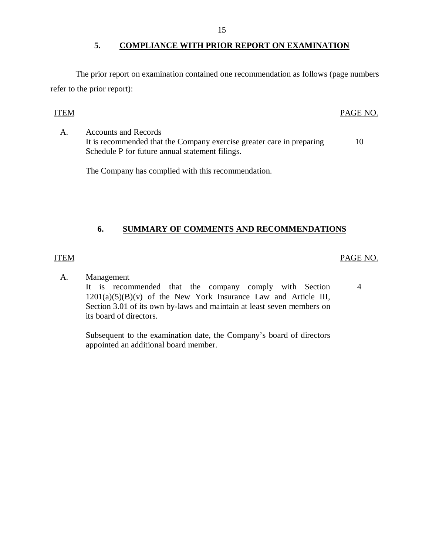### **5. COMPLIANCE WITH PRIOR REPORT ON EXAMINATION**

<span id="page-16-0"></span> The prior report on examination contained one recommendation as follows (page numbers refer to the prior report):

### ITEM PAGE NO.

It is recommended that the Company exercise greater care in preparing 10 Schedule P for future annual statement filings. A. Accounts and Records

The Company has complied with this recommendation.

### **6. SUMMARY OF COMMENTS AND RECOMMENDATIONS**

### ITEM PAGE NO.

A. Management

It is recommended that the company comply with Section 4  $1201(a)(5)(B)(v)$  of the New York Insurance Law and Article III, Section 3.01 of its own by-laws and maintain at least seven members on its board of directors.

 Subsequent to the examination date, the Company's board of directors appointed an additional board member.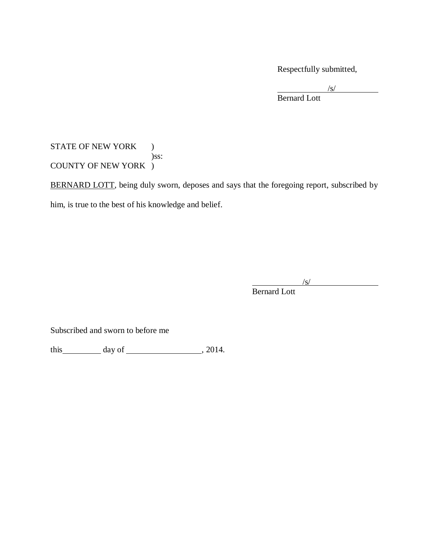Respectfully submitted,

 $\sqrt{s}$ / Bernard Lott

### STATE OF NEW YORK ) COUNTY OF NEW YORK ) )ss:

BERNARD LOTT, being duly sworn, deposes and says that the foregoing report, subscribed by him, is true to the best of his knowledge and belief.

 $\sqrt{s}$ /s/

Bernard Lott

Subscribed and sworn to before me

this  $\_\_\_\_\_\$  day of  $\_\_\_\_\_\_\_\$ , 2014.